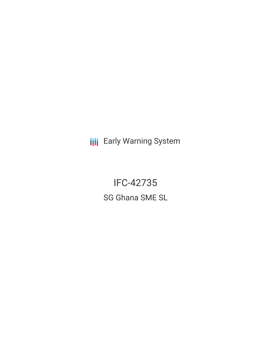**III** Early Warning System

IFC-42735 SG Ghana SME SL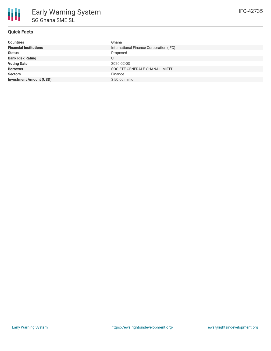# **Quick Facts**

| <b>Countries</b>               | Ghana                                   |
|--------------------------------|-----------------------------------------|
| <b>Financial Institutions</b>  | International Finance Corporation (IFC) |
| <b>Status</b>                  | Proposed                                |
| <b>Bank Risk Rating</b>        | U                                       |
| <b>Voting Date</b>             | 2020-02-03                              |
| <b>Borrower</b>                | SOCIETE GENERALE GHANA LIMITED          |
| <b>Sectors</b>                 | Finance                                 |
| <b>Investment Amount (USD)</b> | \$50.00 million                         |
|                                |                                         |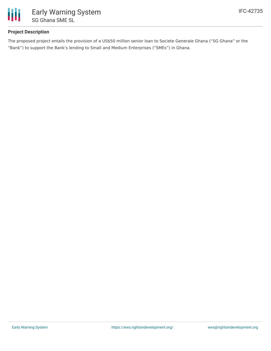

# **Project Description**

The proposed project entails the provision of a US\$50 million senior loan to Societe Generale Ghana ("SG Ghana" or the "Bank") to support the Bank's lending to Small and Medium Enterprises ("SMEs") in Ghana.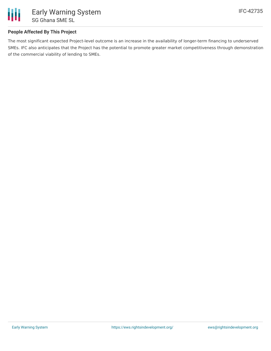

### **People Affected By This Project**

The most significant expected Project-level outcome is an increase in the availability of longer-term financing to underserved SMEs. IFC also anticipates that the Project has the potential to promote greater market competitiveness through demonstration of the commercial viability of lending to SMEs.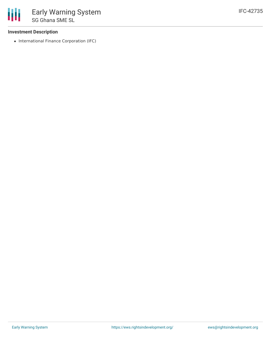### **Investment Description**

• International Finance Corporation (IFC)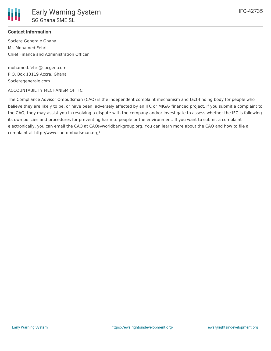

### **Contact Information**

Societe Generale Ghana Mr. Mohamed Fehri Chief Finance and Administration Officer

mohamed.fehri@socgen.com P.O. Box 13119 Accra, Ghana Societegenerale.com

#### ACCOUNTABILITY MECHANISM OF IFC

The Compliance Advisor Ombudsman (CAO) is the independent complaint mechanism and fact-finding body for people who believe they are likely to be, or have been, adversely affected by an IFC or MIGA- financed project. If you submit a complaint to the CAO, they may assist you in resolving a dispute with the company and/or investigate to assess whether the IFC is following its own policies and procedures for preventing harm to people or the environment. If you want to submit a complaint electronically, you can email the CAO at CAO@worldbankgroup.org. You can learn more about the CAO and how to file a complaint at http://www.cao-ombudsman.org/